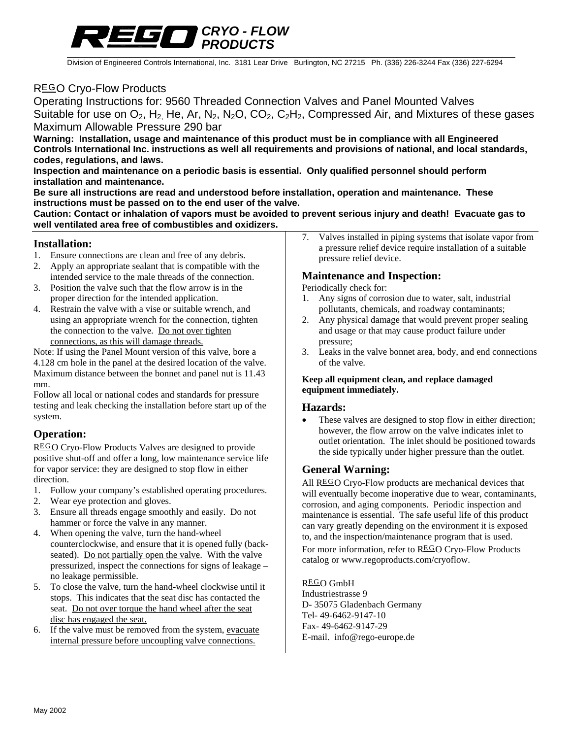

Division of Engineered Controls International, Inc. 3181 Lear Drive Burlington, NC 27215 Ph. (336) 226-3244 Fax (336) 227-6294

## REGO Cryo-Flow Products

Operating Instructions for: 9560 Threaded Connection Valves and Panel Mounted Valves Suitable for use on  $O_2$ , H<sub>2,</sub> He, Ar, N<sub>2</sub>, N<sub>2</sub>O, CO<sub>2</sub>, C<sub>2</sub>H<sub>2</sub>, Compressed Air, and Mixtures of these gases Maximum Allowable Pressure 290 bar

**Warning: Installation, usage and maintenance of this product must be in compliance with all Engineered Controls International Inc. instructions as well all requirements and provisions of national, and local standards, codes, regulations, and laws.** 

**Inspection and maintenance on a periodic basis is essential. Only qualified personnel should perform installation and maintenance.** 

**Be sure all instructions are read and understood before installation, operation and maintenance. These instructions must be passed on to the end user of the valve.** 

**Caution: Contact or inhalation of vapors must be avoided to prevent serious injury and death! Evacuate gas to well ventilated area free of combustibles and oxidizers.** 

#### **Installation:**

- 1. Ensure connections are clean and free of any debris.
- 2. Apply an appropriate sealant that is compatible with the intended service to the male threads of the connection.
- 3. Position the valve such that the flow arrow is in the proper direction for the intended application.
- 4. Restrain the valve with a vise or suitable wrench, and using an appropriate wrench for the connection, tighten the connection to the valve. Do not over tighten connections, as this will damage threads.

Note: If using the Panel Mount version of this valve, bore a 4.128 cm hole in the panel at the desired location of the valve. Maximum distance between the bonnet and panel nut is 11.43 mm.

Follow all local or national codes and standards for pressure testing and leak checking the installation before start up of the system.

## **Operation:**

REGO Cryo-Flow Products Valves are designed to provide positive shut-off and offer a long, low maintenance service life for vapor service: they are designed to stop flow in either direction.

- 1. Follow your company's established operating procedures.
- 2. Wear eye protection and gloves.
- 3. Ensure all threads engage smoothly and easily. Do not hammer or force the valve in any manner.
- 4. When opening the valve, turn the hand-wheel counterclockwise, and ensure that it is opened fully (backseated). Do not partially open the valve. With the valve pressurized, inspect the connections for signs of leakage – no leakage permissible.
- 5. To close the valve, turn the hand-wheel clockwise until it stops. This indicates that the seat disc has contacted the seat. Do not over torque the hand wheel after the seat disc has engaged the seat.
- 6. If the valve must be removed from the system, evacuate internal pressure before uncoupling valve connections.

7. Valves installed in piping systems that isolate vapor from a pressure relief device require installation of a suitable pressure relief device.

### **Maintenance and Inspection:**

Periodically check for:

- 1. Any signs of corrosion due to water, salt, industrial pollutants, chemicals, and roadway contaminants;
- 2. Any physical damage that would prevent proper sealing and usage or that may cause product failure under pressure;
- 3. Leaks in the valve bonnet area, body, and end connections of the valve.

#### **Keep all equipment clean, and replace damaged equipment immediately.**

### **Hazards:**

These valves are designed to stop flow in either direction; however, the flow arrow on the valve indicates inlet to outlet orientation. The inlet should be positioned towards the side typically under higher pressure than the outlet.

## **General Warning:**

All REGO Cryo-Flow products are mechanical devices that will eventually become inoperative due to wear, contaminants, corrosion, and aging components. Periodic inspection and maintenance is essential. The safe useful life of this product can vary greatly depending on the environment it is exposed to, and the inspection/maintenance program that is used. For more information, refer to REGO Cryo-Flow Products catalog or www.regoproducts.com/cryoflow.

REGO GmbH Industriestrasse 9 D- 35075 Gladenbach Germany Tel- 49-6462-9147-10 Fax- 49-6462-9147-29 E-mail. info@rego-europe.de